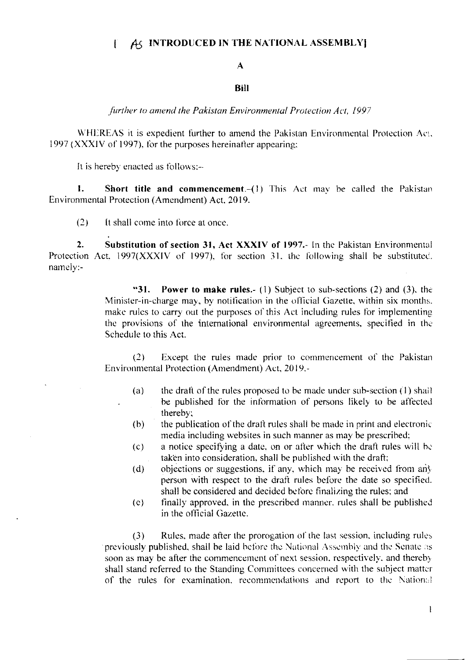## AS INTRODUCED IN THE NATIONAL ASSEMBLY  $\mathbf{f}$

## A

## Bill

further to amend the Pakistan Environmental Protection Act, 1997

WHEREAS it is expedient further to amend the Pakistan Environmental Protection Act. 1997 (XXXIV of 1997), for the purposes hereinafter appearing:

It is hereby enacted as follows:-

 $\mathbf{1}$ . Short title and commencement.-(1) This Act may be called the Pakistan Environmental Protection (Amendment) Act, 2019.

 $(2)$ It shall come into force at once.

 $2.$ Substitution of section 31, Act XXXIV of 1997.- In the Pakistan Environmental Protection Act, 1997(XXXIV of 1997), for section 31, the following shall be substituted. namely:-

> "31. **Power to make rules.**- (1) Subject to sub-sections (2) and (3), the Minister-in-charge may, by notification in the official Gazette, within six months. make rules to carry out the purposes of this Act including rules for implementing the provisions of the international environmental agreements, specified in the Schedule to this Act.

> $(2)$ Except the rules made prior to commencement of the Pakistan Environmental Protection (Amendment) Act, 2019,-

- the draft of the rules proposed to be made under sub-section (1) shall  $(a)$ be published for the information of persons likely to be affected thereby;
- the publication of the draft rules shall be made in print and electronic  $(b)$ media including websites in such manner as may be prescribed:
- a notice specifying a date, on or after which the draft rules will be  $(c)$ taken into consideration, shall be published with the draft;
- objections or suggestions, if any, which may be received from any  $(d)$ person with respect to the draft rules before the date so specified. shall be considered and decided before finalizing the rules; and
- finally approved, in the prescribed manner, rules shall be published  $(e)$ in the official Gazette.

 $(3)$ Rules, made after the prorogation of the last session, including rules previously published, shall be laid before the National Assembly and the Senate as soon as may be after the commencement of next session, respectively, and thereby shall stand referred to the Standing Committees concerned with the subject matter of the rules for examination, recommendations and report to the National